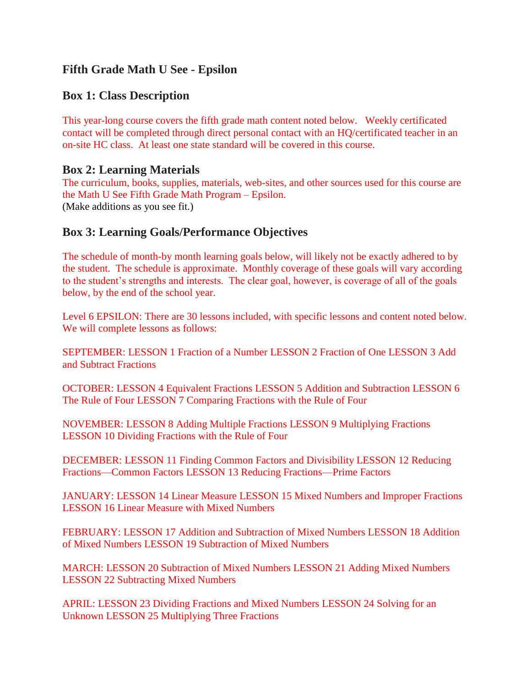# **Fifth Grade Math U See - Epsilon**

### **Box 1: Class Description**

This year-long course covers the fifth grade math content noted below. Weekly certificated contact will be completed through direct personal contact with an HQ/certificated teacher in an on-site HC class. At least one state standard will be covered in this course.

#### **Box 2: Learning Materials**

The curriculum, books, supplies, materials, web-sites, and other sources used for this course are the Math U See Fifth Grade Math Program – Epsilon. (Make additions as you see fit.)

### **Box 3: Learning Goals/Performance Objectives**

The schedule of month-by month learning goals below, will likely not be exactly adhered to by the student. The schedule is approximate. Monthly coverage of these goals will vary according to the student's strengths and interests. The clear goal, however, is coverage of all of the goals below, by the end of the school year.

Level 6 EPSILON: There are 30 lessons included, with specific lessons and content noted below. We will complete lessons as follows:

SEPTEMBER: LESSON 1 Fraction of a Number LESSON 2 Fraction of One LESSON 3 Add and Subtract Fractions

OCTOBER: LESSON 4 Equivalent Fractions LESSON 5 Addition and Subtraction LESSON 6 The Rule of Four LESSON 7 Comparing Fractions with the Rule of Four

NOVEMBER: LESSON 8 Adding Multiple Fractions LESSON 9 Multiplying Fractions LESSON 10 Dividing Fractions with the Rule of Four

DECEMBER: LESSON 11 Finding Common Factors and Divisibility LESSON 12 Reducing Fractions—Common Factors LESSON 13 Reducing Fractions—Prime Factors

JANUARY: LESSON 14 Linear Measure LESSON 15 Mixed Numbers and Improper Fractions LESSON 16 Linear Measure with Mixed Numbers

FEBRUARY: LESSON 17 Addition and Subtraction of Mixed Numbers LESSON 18 Addition of Mixed Numbers LESSON 19 Subtraction of Mixed Numbers

MARCH: LESSON 20 Subtraction of Mixed Numbers LESSON 21 Adding Mixed Numbers LESSON 22 Subtracting Mixed Numbers

APRIL: LESSON 23 Dividing Fractions and Mixed Numbers LESSON 24 Solving for an Unknown LESSON 25 Multiplying Three Fractions